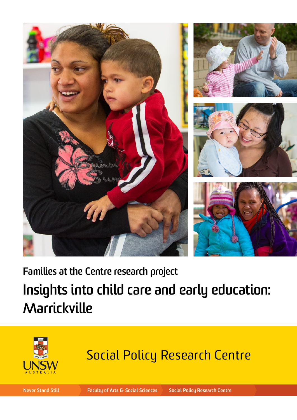







**Families at the Centre research project**

# **Insights into child care and early education: Marrickville**



# Social Policy Research Centre

**Never Stand Still Faculty of Arts & Social Sciences Social Policy Research Centre**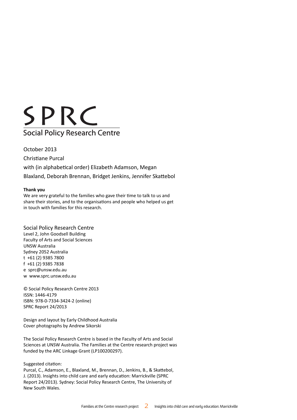

October 2013 Christiane Purcal with (in alphabetical order) Elizabeth Adamson, Megan Blaxland, Deborah Brennan, Bridget Jenkins, Jennifer Skattebol

### **Thank you**

We are very grateful to the families who gave their time to talk to us and share their stories, and to the organisations and people who helped us get in touch with families for this research.

### Social Policy Research Centre

Level 2, John Goodsell Building Faculty of Arts and Social Sciences UNSW Australia Sydney 2052 Australia t +61 (2) 9385 7800 f +61 (2) 9385 7838 e sprc@unsw.edu.au w www.sprc.unsw.edu.au

© Social Policy Research Centre 2013 ISSN: 1446-4179 ISBN: 978-0-7334-3424-2 (online) SPRC Report 24/2013

Design and layout by Early Childhood Australia Cover photographs by Andrew Sikorski

The Social Policy Research Centre is based in the Faculty of Arts and Social Sciences at UNSW Australia. The Families at the Centre research project was funded by the ARC Linkage Grant (LP100200297).

Suggested citation:

Purcal, C., Adamson, E., Blaxland, M., Brennan, D., Jenkins, B., & Skattebol, J. (2013). Insights into child care and early education: Marrickville (SPRC Report 24/2013). Sydney: Social Policy Research Centre, The University of New South Wales.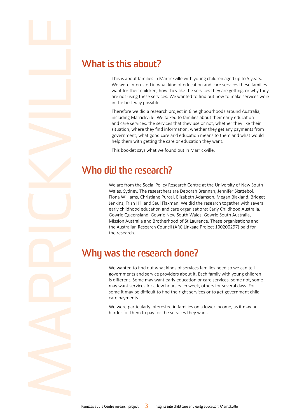**if the State of State 19 (What is this about families in M**<br>This is about families in M<br>We were interested in with<br>want for their children, h<br>are not using these servi<br>in the best way possible.<br>Therefore we did a reseal<br>i This is about families in Marrickville with young children aged up to 5 years. We were interested in what kind of education and care services these families want for their children, how they like the services they are getting, or why they are not using these services. We wanted to find out how to make services work in the best way possible.

Therefore we did a research project in 6 neighbourhoods around Australia, including Marrickville. We talked to families about their early education and care services: the services that they use or not, whether they like their situation, where they find information, whether they get any payments from government, what good care and education means to them and what would help them with getting the care or education they want.

This booklet says what we found out in Marrickville.

## **Who did the research?**

We are from the Social Policy Research Centre at the University of New South Wales, Sydney. The researchers are Deborah Brennan, Jennifer Skattebol, Fiona Williams, Christiane Purcal, Elizabeth Adamson, Megan Blaxland, Bridget Jenkins, Trish Hill and Saul Flaxman. We did the research together with several early childhood education and care organisations: Early Childhood Australia, Gowrie Queensland, Gowrie New South Wales, Gowrie South Australia, Mission Australia and Brotherhood of St Laurence. These organisations and the Australian Research Council (ARC Linkage Project 100200297) paid for the research.

# **Why was the research done?**

We wanted to find out what kinds of services families need so we can tell governments and service providers about it. Each family with young children is different. Some may want early education or care services, some not, some may want services for a few hours each week, others for several days. For some it may be difficult to find the right services or to get government child care payments.

We were particularly interested in families on a lower income, as it may be harder for them to pay for the services they want.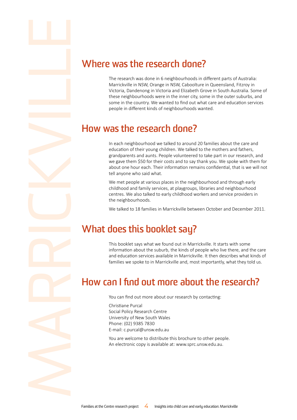**is a set of the research of the research done?**<br>The research was done in 6 neighbourhoods in d<br>Marrickville in NSW, Orange in NSW, Caboolture<br>Victoria, Dandenong in Victoria and Elizabeth Gre<br>these neighbourhoods were in The research was done in 6 neighbourhoods in different parts of Australia: Marrickville in NSW, Orange in NSW, Caboolture in Queensland, Fitzroy in Victoria, Dandenong in Victoria and Elizabeth Grove in South Australia. Some of these neighbourhoods were in the inner city, some in the outer suburbs, and some in the country. We wanted to find out what care and education services people in different kinds of neighbourhoods wanted.

## **How was the research done?**

In each neighbourhood we talked to around 20 families about the care and education of their young children. We talked to the mothers and fathers, grandparents and aunts. People volunteered to take part in our research, and we gave them \$50 for their costs and to say thank you. We spoke with them for about one hour each. Their information remains confidential, that is we will not tell anyone who said what.

We met people at various places in the neighbourhood and through early childhood and family services, at playgroups, libraries and neighbourhood centres. We also talked to early childhood workers and service providers in the neighbourhoods.

We talked to 18 families in Marrickville between October and December 2011.

# **What does this booklet say?**

This booklet says what we found out in Marrickville. It starts with some information about the suburb, the kinds of people who live there, and the care and education services available in Marrickville. It then describes what kinds of families we spoke to in Marrickville and, most importantly, what they told us.

# **How can I find out more about the research?**

You can find out more about our research by contacting:

Christiane Purcal Social Policy Research Centre University of New South Wales Phone: (02) 9385 7830 E-mail: c.purcal@unsw.edu.au

You are welcome to distribute this brochure to other people. An electronic copy is available at: www.sprc.unsw.edu.au.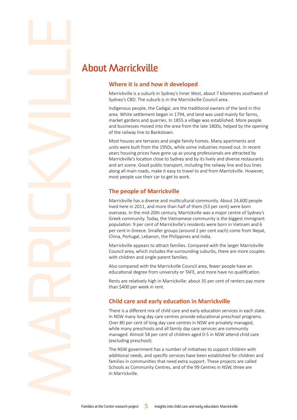# **identify and the Marrickville State of the About Marrickville is a suburb in Sydney's CBD. The subural Indigenous people, the Carea. White settlement <b>t**

### **Where it is and how it developed**

Marrickville is a suburb in Sydney's Inner West, about 7 kilometres southwest of Sydney's CBD. The suburb is in the Marrickville Council area.

Indigenous people, the Cadigal, are the traditional owners of the land in this area. White settlement began in 1794, and land was used mainly for farms, market gardens and quarries. In 1855 a village was established. More people and businesses moved into the area from the late 1800s, helped by the opening of the railway line to Bankstown.

Most houses are terraces and single family homes. Many apartments and units were built from the 1950s, while some industries moved out. In recent years housing prices have gone up as young professionals are attracted by Marrickville's location close to Sydney and by its lively and diverse restaurants and art scene. Good public transport, including the railway line and bus lines along all main roads, make it easy to travel to and from Marrickville. However, most people use their car to get to work.

### **The people of Marrickville**

Marrickville has a diverse and multicultural community. About 24,600 people lived here in 2011, and more than half of them (53 per cent) were born overseas. In the mid-20th century, Marrickville was a major centre of Sydney's Greek community. Today, the Vietnamese community is the biggest immigrant population: 9 per cent of Marrickville's residents were born in Vietnam and 6 per cent in Greece. Smaller groups (around 2 per cent each) come from Nepal, China, Portugal, Lebanon, the Philippines and India.

Marrickville appears to attract families. Compared with the larger Marrickville Council area, which includes the surrounding suburbs, there are more couples with children and single parent families.

Also compared with the Marrickville Council area, fewer people have an educational degree from university or TAFE, and more have no qualification.

Rents are relatively high in Marrickville: about 35 per cent of renters pay more than \$400 per week in rent.

### **Child care and early education in Marrickville**

There is a different mix of child care and early education services in each state. In NSW many long day care centres provide educational preschool programs. Over 80 per cent of long day care centres in NSW are privately managed, while many preschools and all family day care services are community managed. Almost 58 per cent of children aged 0-5 in NSW attend child care (excluding preschool).

The NSW government has a number of initiatives to support children with additional needs, and specific services have been established for children and families in communities that need extra support. These projects are called Schools as Community Centres, and of the 99 Centres in NSW, three are in Marrickville.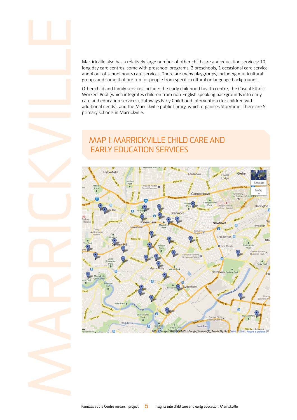long day care centres, some with preschool programs, 2 preschools, 1 occasional care service and 4 out of school hours care services. There are many playgroups, including multicultural groups and some that are run for people from specific cultural or language backgrounds.

Marrickville also has a relatively large number of other child care and education services: 10<br>long day care centres, some with preschool programs, 2 preschools, 1 occasional care service<br>and 4 out of school hours care ser Other child and family services include: the early childhood health centre, the Casual Ethnic Workers Pool (which integrates children from non-English speaking backgrounds into early care and education services), Pathways Early Childhood Intervention (for children with additional needs), and the Marrickville public library, which organises Storytime. There are 5 primary schools in Marrickville.



## Map 1: Marrickville child care and early education services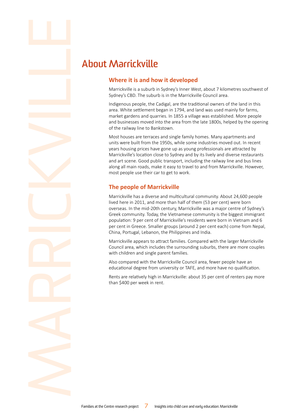# **identify and the Mark School (About Marrickville byday's CBD. The suburb in the Sydney's CBD. The subure Indigenous people, the Carea. White settlement by market gardens and quai**

### **Where it is and how it developed**

Marrickville is a suburb in Sydney's Inner West, about 7 kilometres southwest of Sydney's CBD. The suburb is in the Marrickville Council area.

Indigenous people, the Cadigal, are the traditional owners of the land in this area. White settlement began in 1794, and land was used mainly for farms, market gardens and quarries. In 1855 a village was established. More people and businesses moved into the area from the late 1800s, helped by the opening of the railway line to Bankstown.

Most houses are terraces and single family homes. Many apartments and units were built from the 1950s, while some industries moved out. In recent years housing prices have gone up as young professionals are attracted by Marrickville's location close to Sydney and by its lively and diverse restaurants and art scene. Good public transport, including the railway line and bus lines along all main roads, make it easy to travel to and from Marrickville. However, most people use their car to get to work.

### **The people of Marrickville**

Marrickville has a diverse and multicultural community. About 24,600 people lived here in 2011, and more than half of them (53 per cent) were born overseas. In the mid-20th century, Marrickville was a major centre of Sydney's Greek community. Today, the Vietnamese community is the biggest immigrant population: 9 per cent of Marrickville's residents were born in Vietnam and 6 per cent in Greece. Smaller groups (around 2 per cent each) come from Nepal, China, Portugal, Lebanon, the Philippines and India.

Marrickville appears to attract families. Compared with the larger Marrickville Council area, which includes the surrounding suburbs, there are more couples with children and single parent families.

Also compared with the Marrickville Council area, fewer people have an educational degree from university or TAFE, and more have no qualification.

Rents are relatively high in Marrickville: about 35 per cent of renters pay more than \$400 per week in rent.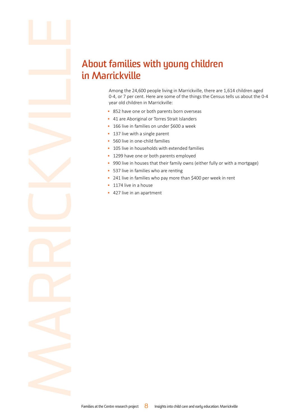# **About families with young children<br>
in Marrickville**<br>
Among the 24,600 people living in Marrickville, there are 1<br>
0-4, or 7 per cent. Here are some of the things the Census<br>
year old children in Marrickville:<br>
852 have o **in Marrickville**

Among the 24,600 people living in Marrickville, there are 1,614 children aged 0-4, or 7 per cent. Here are some of the things the Census tells us about the 0-4 year old children in Marrickville:

- 852 have one or both parents born overseas
- 41 are Aboriginal or Torres Strait Islanders
- 166 live in families on under \$600 a week
- 137 live with a single parent
- 560 live in one-child families
- 105 live in households with extended families
- 1299 have one or both parents employed
- 990 live in houses that their family owns (either fully or with a mortgage)
- 537 live in families who are renting
- 241 live in families who pay more than \$400 per week in rent
- 1174 live in a house
- 427 live in an apartment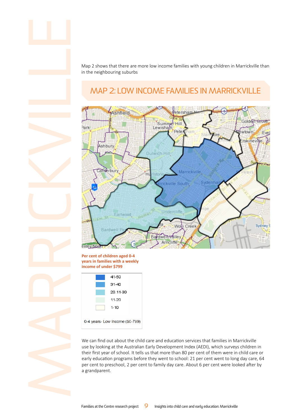Map 2 shows that there are more low income families with young children in Marrickville than in the neighbouring suburbs

# Map 2: Low income families in Marrickville



### **Per cent of children aged 0-4 years in families with a weekly income of under \$799**



0-4 years- Low Income (\$0-799)

We can find out about the child care and education services that families in Marrickville use by looking at the Australian Early Development Index (AEDI), which surveys children in their first year of school. It tells us that more than 80 per cent of them were in child care or early education programs before they went to school: 21 per cent went to long day care, 64 per cent to preschool, 2 per cent to family day care. About 6 per cent were looked after by a grandparent.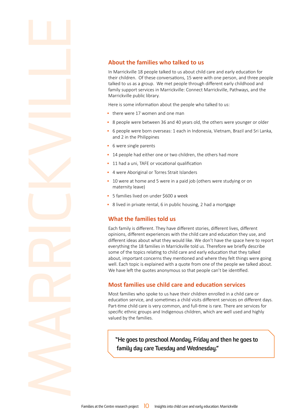**Example 18 About the families who talked to us**<br>
In Marrickville 18 people talked to us about child<br>
their children. Of these conversations, 15 were<br>
talked to us as a group. We met people through<br>
family support services In Marrickville 18 people talked to us about child care and early education for their children. Of these conversations, 15 were with one person, and three people talked to us as a group. We met people through different early childhood and family support services in Marrickville: Connect Marrickville, Pathways, and the Marrickville public library.

Here is some information about the people who talked to us:

- there were 17 women and one man
- 8 people were between 36 and 40 years old, the others were younger or older
- 6 people were born overseas: 1 each in Indonesia, Vietnam, Brazil and Sri Lanka, and 2 in the Philippines
- 6 were single parents
- 14 people had either one or two children, the others had more
- 11 had a uni, TAFE or vocational qualification
- 4 were Aboriginal or Torres Strait Islanders
- 10 were at home and 5 were in a paid job (others were studying or on maternity leave)
- 5 families lived on under \$600 a week
- 8 lived in private rental, 6 in public housing, 2 had a mortgage

### **What the families told us**

Each family is different. They have different stories, different lives, different opinions, different experiences with the child care and education they use, and different ideas about what they would like. We don't have the space here to report everything the 18 families in Marrickville told us. Therefore we briefly describe some of the topics relating to child care and early education that they talked about, important concerns they mentioned and where they felt things were going well. Each topic is explained with a quote from one of the people we talked about. We have left the quotes anonymous so that people can't be identified.

### **Most families use child care and education services**

Most families who spoke to us have their children enrolled in a child care or education service, and sometimes a child visits different services on different days. Part-time child care is very common, and full-time is rare. There are services for specific ethnic groups and Indigenous children, which are well used and highly valued by the families.

**"He goes to preschool Monday, Friday and then he goes to family day care Tuesday and Wednesday."**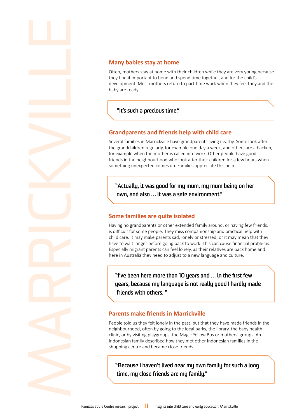**Many babies stay at home**<br>
Often, mothers stay at home with they find it important to bond and s<br>
development. Most mothers return<br>
baby are ready.<br> **Complete the stay of the start of the start of the start of the start o** Often, mothers stay at home with their children while they are very young because they find it important to bond and spend time together, and for the child's development. Most mothers return to part-time work when they feel they and the baby are ready.

### **"It's such a precious time."**

### **Grandparents and friends help with child care**

Several families in Marrickville have grandparents living nearby. Some look after the grandchildren regularly, for example one day a week, and others are a backup, for example when the mother is called into work. Other people have good friends in the neighbourhood who look after their children for a few hours when something unexpected comes up. Families appreciate this help.

**"Actually, it was good for my mum, my mum being on her own, and also … it was a safe environment."**

### **Some families are quite isolated**

Having no grandparents or other extended family around, or having few friends, is difficult for some people. They miss companionship and practical help with child care. It may make parents sad, lonely or stressed, or it may mean that they have to wait longer before going back to work. This can cause financial problems. Especially migrant parents can feel lonely, as their relatives are back home and here in Australia they need to adjust to a new language and culture.

**"I've been here more than 10 years and … in the first few years, because my language is not really good I hardly made friends with others. "**

### **Parents make friends in Marrickville**

People told us they felt lonely in the past, but that they have made friends in the neighbourhood, often by going to the local parks, the library, the baby health clinic, or by visiting playgroups, the Magic Yellow Bus or mothers' groups. An Indonesian family described how they met other Indonesian families in the shopping centre and became close friends.

**"Because I haven't lived near my own family for such a long time, my close friends are my family."**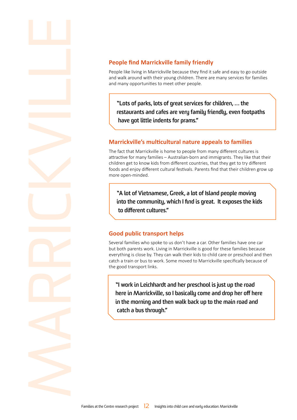**People find Marrickville family friendly**<br>People like living in Marrickville because they find it<br>and walk around with their young children. There are<br>and many opportunities to meet other people.<br>**Nuts of parks, lots of g** People like living in Marrickville because they find it safe and easy to go outside and walk around with their young children. There are many services for families and many opportunities to meet other people.

**"Lots of parks, lots of great services for children, … the restaurants and cafes are very family friendly, even footpaths have got little indents for prams."**

### **Marrickville's multicultural nature appeals to families**

The fact that Marrickville is home to people from many different cultures is attractive for many families – Australian-born and immigrants. They like that their children get to know kids from different countries, that they get to try different foods and enjoy different cultural festivals. Parents find that their children grow up more open-minded.

**"A lot of Vietnamese, Greek, a lot of Island people moving into the community, which I find is great. It exposes the kids to different cultures."** 

### **Good public transport helps**

Several families who spoke to us don't have a car. Other families have one car but both parents work. Living in Marrickville is good for these families because everything is close by. They can walk their kids to child care or preschool and then catch a train or bus to work. Some moved to Marrickville specifically because of the good transport links.

**"I work in Leichhardt and her preschool is just up the road here in Marrickville, so I basically come and drop her off here in the morning and then walk back up to the main road and catch a bus through."**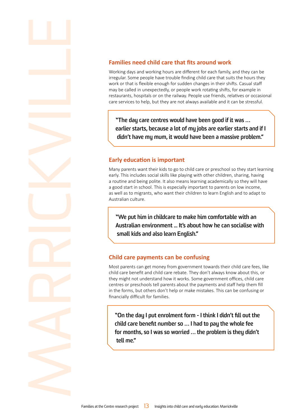**Families need child care that fits around work**<br>Working days and working hours are different for each family,<br>irregular. Some people have trouble finding child care that sui<br>work or that is flexible enough for sudden chan Working days and working hours are different for each family, and they can be irregular. Some people have trouble finding child care that suits the hours they work or that is flexible enough for sudden changes in their shifts. Casual staff may be called in unexpectedly, or people work rotating shifts, for example in restaurants, hospitals or on the railway. People use friends, relatives or occasional care services to help, but they are not always available and it can be stressful.

**"The day care centres would have been good if it was … earlier starts, because a lot of my jobs are earlier starts and if I didn't have my mum, it would have been a massive problem."** 

### **Early education is important**

Many parents want their kids to go to child care or preschool so they start learning early. This includes social skills like playing with other children, sharing, having a routine and being polite. It also means learning academically so they will have a good start in school. This is especially important to parents on low income, as well as to migrants, who want their children to learn English and to adapt to Australian culture.

**"We put him in childcare to make him comfortable with an Australian environment ... It's about how he can socialise with small kids and also learn English."**

### **Child care payments can be confusing**

Most parents can get money from government towards their child care fees, like child care benefit and child care rebate. They don't always know about this, or they might not understand how it works. Some government offices, child care centres or preschools tell parents about the payments and staff help them fill in the forms, but others don't help or make mistakes. This can be confusing or financially difficult for families.

**"On the day I put enrolment form - I think I didn't fill out the child care benefit number so … I had to pay the whole fee for months, so I was so worried … the problem is they didn't tell me."**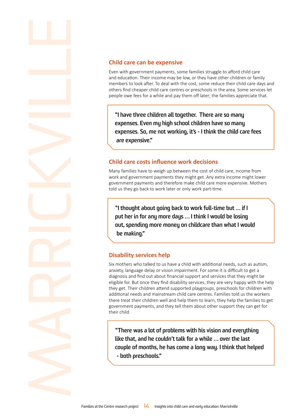**Child care can be expensive**<br>Even with government payments, so<br>and education. Their income may be<br>members to look after. To deal with t<br>others find cheaper child care centre<br>people owe fees for a while and pay!<br><br>I have th Even with government payments, some families struggle to afford child care and education. Their income may be low, or they have other children or family members to look after. To deal with the cost, some reduce their child care days and others find cheaper child care centres or preschools in the area. Some services let people owe fees for a while and pay them off later; the families appreciate that.

**"I have three children all together. There are so many expenses. Even my high school children have so many expenses. So, me not working, it's - I think the child care fees are expensive."** 

### **Child care costs influence work decisions**

Many families have to weigh up between the cost of child care, income from work and government payments they might get. Any extra income might lower government payments and therefore make child care more expensive. Mothers told us they go back to work later or only work part-time.

**"I thought about going back to work full-time but … if I put her in for any more days … I think I would be losing out, spending more money on childcare than what I would be making."**

### **Disability services help**

Six mothers who talked to us have a child with additional needs, such as autism, anxiety, language delay or vision impairment. For some it is difficult to get a diagnosis and find out about financial support and services that they might be eligible for. But once they find disability services, they are very happy with the help they get. Their children attend supported playgroups, preschools for children with additional needs and mainstream child care centres. Families told us the workers there treat their children well and help them to learn, they help the families to get government payments, and they tell them about other support they can get for their child.

**"There was a lot of problems with his vision and everything like that, and he couldn't talk for a while … over the last couple of months, he has come a long way. I think that helped - both preschools."**